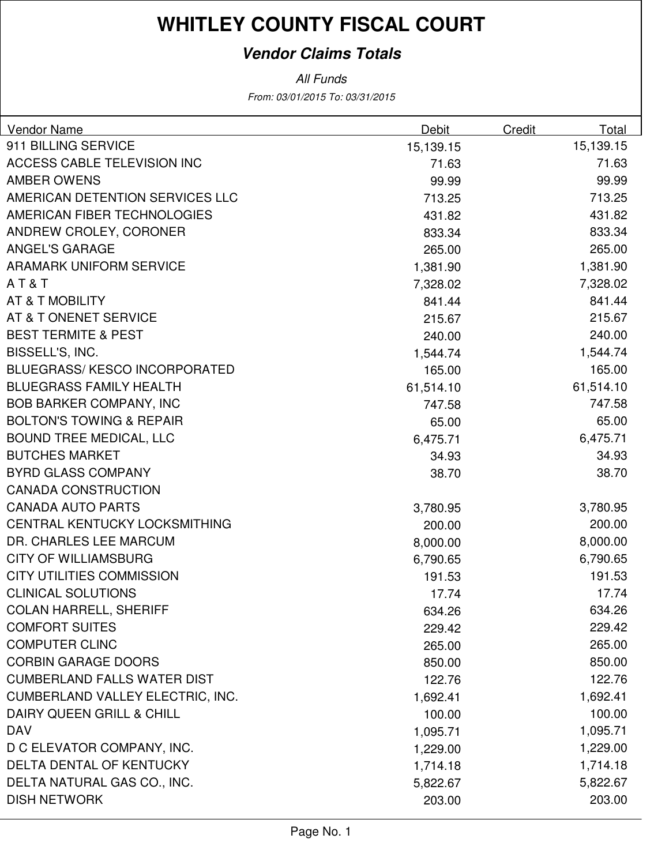#### **Vendor Claims Totals**

From: 03/01/2015 To: 03/31/2015 All Funds

| <b>Vendor Name</b>                  | Debit     | Credit | Total     |
|-------------------------------------|-----------|--------|-----------|
| 911 BILLING SERVICE                 | 15,139.15 |        | 15,139.15 |
| <b>ACCESS CABLE TELEVISION INC</b>  | 71.63     |        | 71.63     |
| <b>AMBER OWENS</b>                  | 99.99     |        | 99.99     |
| AMERICAN DETENTION SERVICES LLC     | 713.25    |        | 713.25    |
| AMERICAN FIBER TECHNOLOGIES         | 431.82    |        | 431.82    |
| ANDREW CROLEY, CORONER              | 833.34    |        | 833.34    |
| <b>ANGEL'S GARAGE</b>               | 265.00    |        | 265.00    |
| <b>ARAMARK UNIFORM SERVICE</b>      | 1,381.90  |        | 1,381.90  |
| AT&T                                | 7,328.02  |        | 7,328.02  |
| AT & T MOBILITY                     | 841.44    |        | 841.44    |
| AT & T ONENET SERVICE               | 215.67    |        | 215.67    |
| <b>BEST TERMITE &amp; PEST</b>      | 240.00    |        | 240.00    |
| BISSELL'S, INC.                     | 1,544.74  |        | 1,544.74  |
| <b>BLUEGRASS/KESCO INCORPORATED</b> | 165.00    |        | 165.00    |
| <b>BLUEGRASS FAMILY HEALTH</b>      | 61,514.10 |        | 61,514.10 |
| <b>BOB BARKER COMPANY, INC</b>      | 747.58    |        | 747.58    |
| <b>BOLTON'S TOWING &amp; REPAIR</b> | 65.00     |        | 65.00     |
| <b>BOUND TREE MEDICAL, LLC</b>      | 6,475.71  |        | 6,475.71  |
| <b>BUTCHES MARKET</b>               | 34.93     |        | 34.93     |
| <b>BYRD GLASS COMPANY</b>           | 38.70     |        | 38.70     |
| <b>CANADA CONSTRUCTION</b>          |           |        |           |
| <b>CANADA AUTO PARTS</b>            | 3,780.95  |        | 3,780.95  |
| CENTRAL KENTUCKY LOCKSMITHING       | 200.00    |        | 200.00    |
| DR. CHARLES LEE MARCUM              | 8,000.00  |        | 8,000.00  |
| <b>CITY OF WILLIAMSBURG</b>         | 6,790.65  |        | 6,790.65  |
| <b>CITY UTILITIES COMMISSION</b>    | 191.53    |        | 191.53    |
| <b>CLINICAL SOLUTIONS</b>           | 17.74     |        | 17.74     |
| <b>COLAN HARRELL, SHERIFF</b>       | 634.26    |        | 634.26    |
| <b>COMFORT SUITES</b>               | 229.42    |        | 229.42    |
| <b>COMPUTER CLINC</b>               | 265.00    |        | 265.00    |
| <b>CORBIN GARAGE DOORS</b>          | 850.00    |        | 850.00    |
| <b>CUMBERLAND FALLS WATER DIST</b>  | 122.76    |        | 122.76    |
| CUMBERLAND VALLEY ELECTRIC, INC.    | 1,692.41  |        | 1,692.41  |
| DAIRY QUEEN GRILL & CHILL           | 100.00    |        | 100.00    |
| <b>DAV</b>                          | 1,095.71  |        | 1,095.71  |
| D C ELEVATOR COMPANY, INC.          | 1,229.00  |        | 1,229.00  |
| DELTA DENTAL OF KENTUCKY            | 1,714.18  |        | 1,714.18  |
| DELTA NATURAL GAS CO., INC.         | 5,822.67  |        | 5,822.67  |
| <b>DISH NETWORK</b>                 | 203.00    |        | 203.00    |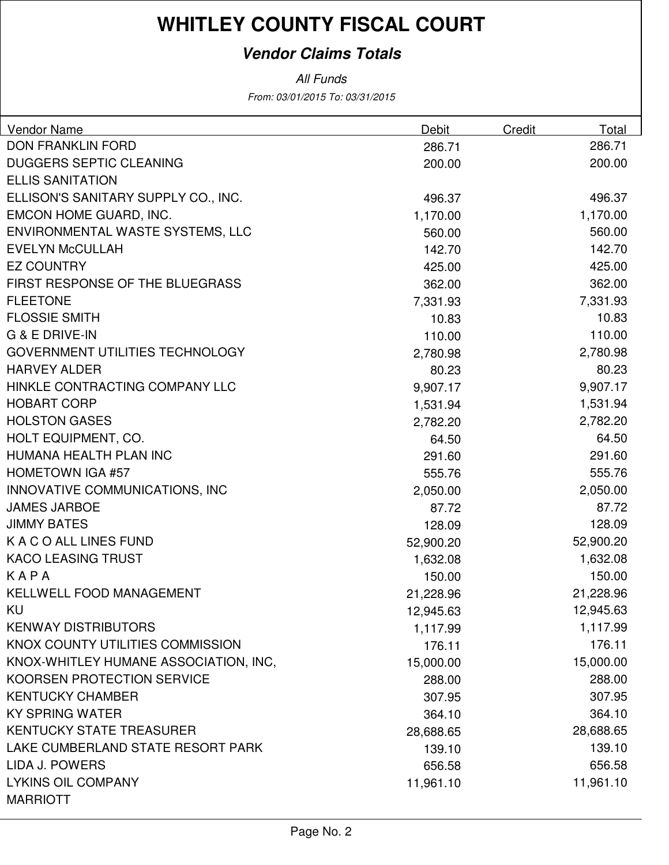#### **Vendor Claims Totals**

From: 03/01/2015 To: 03/31/2015 All Funds

| <b>Vendor Name</b>                     | Debit     | Credit | Total     |
|----------------------------------------|-----------|--------|-----------|
| <b>DON FRANKLIN FORD</b>               | 286.71    |        | 286.71    |
| <b>DUGGERS SEPTIC CLEANING</b>         | 200.00    |        | 200.00    |
| <b>ELLIS SANITATION</b>                |           |        |           |
| ELLISON'S SANITARY SUPPLY CO., INC.    | 496.37    |        | 496.37    |
| EMCON HOME GUARD, INC.                 | 1,170.00  |        | 1,170.00  |
| ENVIRONMENTAL WASTE SYSTEMS, LLC       | 560.00    |        | 560.00    |
| <b>EVELYN McCULLAH</b>                 | 142.70    |        | 142.70    |
| <b>EZ COUNTRY</b>                      | 425.00    |        | 425.00    |
| <b>FIRST RESPONSE OF THE BLUEGRASS</b> | 362.00    |        | 362.00    |
| <b>FLEETONE</b>                        | 7,331.93  |        | 7,331.93  |
| <b>FLOSSIE SMITH</b>                   | 10.83     |        | 10.83     |
| <b>G &amp; E DRIVE-IN</b>              | 110.00    |        | 110.00    |
| <b>GOVERNMENT UTILITIES TECHNOLOGY</b> | 2,780.98  |        | 2,780.98  |
| <b>HARVEY ALDER</b>                    | 80.23     |        | 80.23     |
| HINKLE CONTRACTING COMPANY LLC         | 9,907.17  |        | 9,907.17  |
| <b>HOBART CORP</b>                     | 1,531.94  |        | 1,531.94  |
| <b>HOLSTON GASES</b>                   | 2,782.20  |        | 2,782.20  |
| HOLT EQUIPMENT, CO.                    | 64.50     |        | 64.50     |
| HUMANA HEALTH PLAN INC                 | 291.60    |        | 291.60    |
| <b>HOMETOWN IGA #57</b>                | 555.76    |        | 555.76    |
| INNOVATIVE COMMUNICATIONS, INC         | 2,050.00  |        | 2,050.00  |
| <b>JAMES JARBOE</b>                    | 87.72     |        | 87.72     |
| <b>JIMMY BATES</b>                     | 128.09    |        | 128.09    |
| K A C O ALL LINES FUND                 | 52,900.20 |        | 52,900.20 |
| <b>KACO LEASING TRUST</b>              | 1,632.08  |        | 1,632.08  |
| KAPA                                   | 150.00    |        | 150.00    |
| KELLWELL FOOD MANAGEMENT               | 21,228.96 |        | 21,228.96 |
| KU                                     | 12,945.63 |        | 12,945.63 |
| <b>KENWAY DISTRIBUTORS</b>             | 1,117.99  |        | 1,117.99  |
| KNOX COUNTY UTILITIES COMMISSION       | 176.11    |        | 176.11    |
| KNOX-WHITLEY HUMANE ASSOCIATION, INC,  | 15,000.00 |        | 15,000.00 |
| KOORSEN PROTECTION SERVICE             | 288.00    |        | 288.00    |
| <b>KENTUCKY CHAMBER</b>                | 307.95    |        | 307.95    |
| <b>KY SPRING WATER</b>                 | 364.10    |        | 364.10    |
| <b>KENTUCKY STATE TREASURER</b>        | 28,688.65 |        | 28,688.65 |
| LAKE CUMBERLAND STATE RESORT PARK      | 139.10    |        | 139.10    |
| LIDA J. POWERS                         | 656.58    |        | 656.58    |
| <b>LYKINS OIL COMPANY</b>              | 11,961.10 |        | 11,961.10 |
| <b>MARRIOTT</b>                        |           |        |           |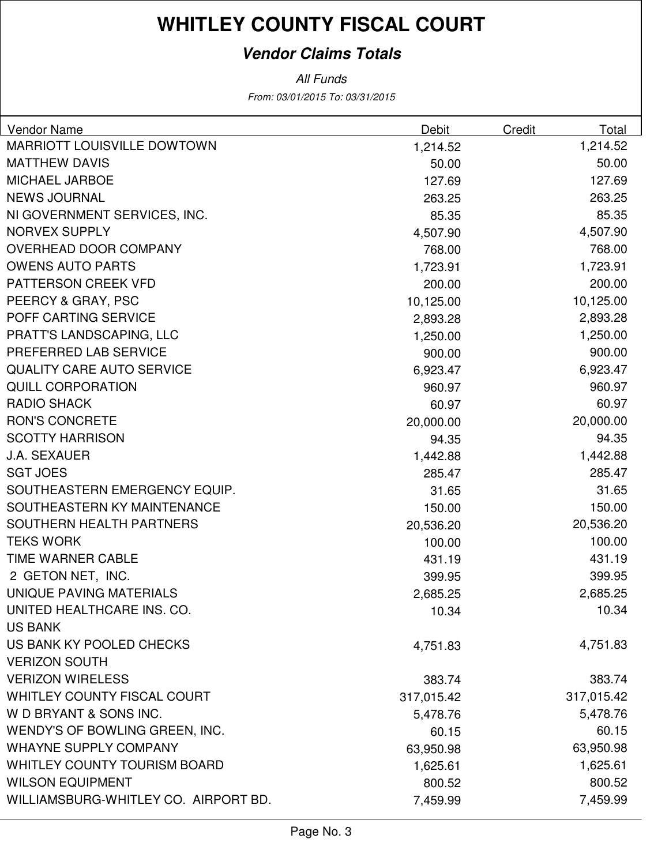#### **Vendor Claims Totals**

From: 03/01/2015 To: 03/31/2015 All Funds

| Vendor Name                          | Debit      | Credit     | Total  |
|--------------------------------------|------------|------------|--------|
| <b>MARRIOTT LOUISVILLE DOWTOWN</b>   | 1,214.52   | 1,214.52   |        |
| <b>MATTHEW DAVIS</b>                 | 50.00      |            | 50.00  |
| <b>MICHAEL JARBOE</b>                | 127.69     |            | 127.69 |
| <b>NEWS JOURNAL</b>                  | 263.25     |            | 263.25 |
| NI GOVERNMENT SERVICES, INC.         | 85.35      |            | 85.35  |
| <b>NORVEX SUPPLY</b>                 | 4,507.90   | 4,507.90   |        |
| <b>OVERHEAD DOOR COMPANY</b>         | 768.00     |            | 768.00 |
| <b>OWENS AUTO PARTS</b>              | 1,723.91   | 1,723.91   |        |
| PATTERSON CREEK VFD                  | 200.00     |            | 200.00 |
| PEERCY & GRAY, PSC                   | 10,125.00  | 10,125.00  |        |
| POFF CARTING SERVICE                 | 2,893.28   | 2,893.28   |        |
| PRATT'S LANDSCAPING, LLC             | 1,250.00   | 1,250.00   |        |
| PREFERRED LAB SERVICE                | 900.00     |            | 900.00 |
| <b>QUALITY CARE AUTO SERVICE</b>     | 6,923.47   | 6,923.47   |        |
| <b>QUILL CORPORATION</b>             | 960.97     |            | 960.97 |
| <b>RADIO SHACK</b>                   | 60.97      |            | 60.97  |
| <b>RON'S CONCRETE</b>                | 20,000.00  | 20,000.00  |        |
| <b>SCOTTY HARRISON</b>               | 94.35      |            | 94.35  |
| <b>J.A. SEXAUER</b>                  | 1,442.88   | 1,442.88   |        |
| <b>SGT JOES</b>                      | 285.47     |            | 285.47 |
| SOUTHEASTERN EMERGENCY EQUIP.        | 31.65      |            | 31.65  |
| SOUTHEASTERN KY MAINTENANCE          | 150.00     |            | 150.00 |
| SOUTHERN HEALTH PARTNERS             | 20,536.20  | 20,536.20  |        |
| <b>TEKS WORK</b>                     | 100.00     |            | 100.00 |
| <b>TIME WARNER CABLE</b>             | 431.19     |            | 431.19 |
| 2 GETON NET, INC.                    | 399.95     |            | 399.95 |
| UNIQUE PAVING MATERIALS              | 2,685.25   | 2,685.25   |        |
| UNITED HEALTHCARE INS. CO.           | 10.34      |            | 10.34  |
| <b>US BANK</b>                       |            |            |        |
| US BANK KY POOLED CHECKS             | 4,751.83   | 4,751.83   |        |
| <b>VERIZON SOUTH</b>                 |            |            |        |
| <b>VERIZON WIRELESS</b>              | 383.74     |            | 383.74 |
| WHITLEY COUNTY FISCAL COURT          | 317,015.42 | 317,015.42 |        |
| W D BRYANT & SONS INC.               | 5,478.76   | 5,478.76   |        |
| WENDY'S OF BOWLING GREEN, INC.       | 60.15      |            | 60.15  |
| <b>WHAYNE SUPPLY COMPANY</b>         | 63,950.98  | 63,950.98  |        |
| <b>WHITLEY COUNTY TOURISM BOARD</b>  | 1,625.61   | 1,625.61   |        |
| <b>WILSON EQUIPMENT</b>              | 800.52     |            | 800.52 |
| WILLIAMSBURG-WHITLEY CO. AIRPORT BD. | 7,459.99   | 7,459.99   |        |